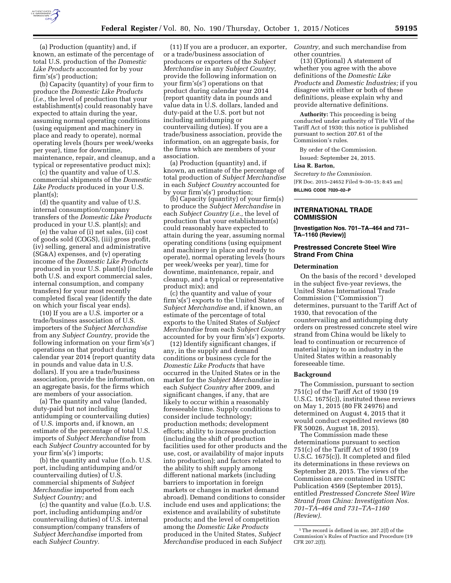

(a) Production (quantity) and, if known, an estimate of the percentage of total U.S. production of the *Domestic Like Products* accounted for by your firm's(s') production;

(b) Capacity (quantity) of your firm to produce the *Domestic Like Products*  (*i.e.,* the level of production that your establishment(s) could reasonably have expected to attain during the year, assuming normal operating conditions (using equipment and machinery in place and ready to operate), normal operating levels (hours per week/weeks per year), time for downtime, maintenance, repair, and cleanup, and a typical or representative product mix);

(c) the quantity and value of U.S. commercial shipments of the *Domestic Like Products* produced in your U.S. plant(s);

(d) the quantity and value of U.S. internal consumption/company transfers of the *Domestic Like Products*  produced in your U.S. plant(s); and

(e) the value of (i) net sales, (ii) cost of goods sold (COGS), (iii) gross profit, (iv) selling, general and administrative (SG&A) expenses, and (v) operating income of the *Domestic Like Products*  produced in your U.S. plant(s) (include both U.S. and export commercial sales, internal consumption, and company transfers) for your most recently completed fiscal year (identify the date on which your fiscal year ends).

(10) If you are a U.S. importer or a trade/business association of U.S. importers of the *Subject Merchandise*  from any *Subject Country,* provide the following information on your firm's(s') operations on that product during calendar year 2014 (report quantity data in pounds and value data in U.S. dollars). If you are a trade/business association, provide the information, on an aggregate basis, for the firms which are members of your association.

(a) The quantity and value (landed, duty-paid but not including antidumping or countervailing duties) of U.S. imports and, if known, an estimate of the percentage of total U.S. imports of *Subject Merchandise* from each *Subject Country* accounted for by your firm's(s') imports;

(b) the quantity and value (f.o.b. U.S. port, including antidumping and/or countervailing duties) of U.S. commercial shipments of *Subject Merchandise* imported from each *Subject Country;* and

(c) the quantity and value (f.o.b. U.S. port, including antidumping and/or countervailing duties) of U.S. internal consumption/company transfers of *Subject Merchandise* imported from each *Subject Country.* 

(11) If you are a producer, an exporter, or a trade/business association of producers or exporters of the *Subject Merchandise* in any *Subject Country,*  provide the following information on your firm's(s') operations on that product during calendar year 2014 (report quantity data in pounds and value data in U.S. dollars, landed and duty-paid at the U.S. port but not including antidumping or countervailing duties). If you are a trade/business association, provide the information, on an aggregate basis, for the firms which are members of your association.

(a) Production (quantity) and, if known, an estimate of the percentage of total production of *Subject Merchandise*  in each *Subject Country* accounted for by your firm's(s') production;

(b) Capacity (quantity) of your firm(s) to produce the *Subject Merchandise* in each *Subject Country* (*i.e.,* the level of production that your establishment(s) could reasonably have expected to attain during the year, assuming normal operating conditions (using equipment and machinery in place and ready to operate), normal operating levels (hours per week/weeks per year), time for downtime, maintenance, repair, and cleanup, and a typical or representative product mix); and

(c) the quantity and value of your firm's(s') exports to the United States of *Subject Merchandise* and, if known, an estimate of the percentage of total exports to the United States of *Subject Merchandise* from each *Subject Country*  accounted for by your firm's(s') exports.

(12) Identify significant changes, if any, in the supply and demand conditions or business cycle for the *Domestic Like Products* that have occurred in the United States or in the market for the *Subject Merchandise* in each *Subject Country* after 2009, and significant changes, if any, that are likely to occur within a reasonably foreseeable time. Supply conditions to consider include technology; production methods; development efforts; ability to increase production (including the shift of production facilities used for other products and the use, cost, or availability of major inputs into production); and factors related to the ability to shift supply among different national markets (including barriers to importation in foreign markets or changes in market demand abroad). Demand conditions to consider include end uses and applications; the existence and availability of substitute products; and the level of competition among the *Domestic Like Products*  produced in the United States, *Subject Merchandise* produced in each *Subject* 

*Country,* and such merchandise from other countries.

(13) (Optional) A statement of whether you agree with the above definitions of the *Domestic Like Products* and *Domestic Industries;* if you disagree with either or both of these definitions, please explain why and provide alternative definitions.

**Authority:** This proceeding is being conducted under authority of Title VII of the Tariff Act of 1930; this notice is published pursuant to section 207.61 of the Commission's rules.

By order of the Commission. Issued: September 24, 2015.

## **Lisa R. Barton,**

*Secretary to the Commission.* 

[FR Doc. 2015–24652 Filed 9–30–15; 8:45 am] **BILLING CODE 7020–02–P** 

# **INTERNATIONAL TRADE COMMISSION**

**[Investigation Nos. 701–TA–464 and 731– TA–1160 (Review)]** 

# **Prestressed Concrete Steel Wire Strand From China**

## **Determination**

On the basis of the record<sup>1</sup> developed in the subject five-year reviews, the United States International Trade Commission (''Commission'') determines, pursuant to the Tariff Act of 1930, that revocation of the countervailing and antidumping duty orders on prestressed concrete steel wire strand from China would be likely to lead to continuation or recurrence of material injury to an industry in the United States within a reasonably foreseeable time.

## **Background**

The Commission, pursuant to section 751(c) of the Tariff Act of 1930 (19 U.S.C. 1675(c)), instituted these reviews on May 1, 2015 (80 FR 24976) and determined on August 4, 2015 that it would conduct expedited reviews (80 FR 50026, August 18, 2015).

The Commission made these determinations pursuant to section 751(c) of the Tariff Act of 1930 (19 U.S.C. 1675(c)). It completed and filed its determinations in these reviews on September 28, 2015. The views of the Commission are contained in USITC Publication 4569 (September 2015), entitled *Prestressed Concrete Steel Wire Strand from China: Investigation Nos. 701–TA–464 and 731–TA–1160 (Review).* 

 $^{\rm 1}\!$  The record is defined in sec. 207.2(f) of the Commission's Rules of Practice and Procedure (19 CFR 207.2(f)).